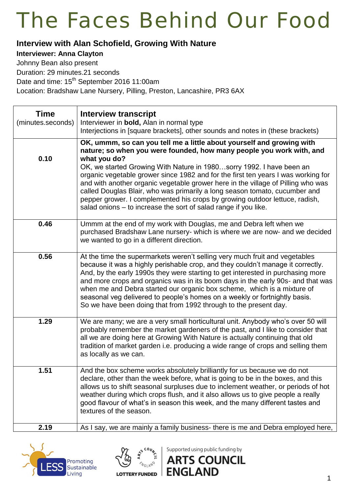#### **Interview with Alan Schofield, Growing With Nature**

#### **Interviewer: Anna Clayton**

Johnny Bean also present

Duration: 29 minutes.21 seconds

Date and time: 15<sup>th</sup> September 2016 11:00am

Location: Bradshaw Lane Nursery, Pilling, Preston, Lancashire, PR3 6AX

| <b>Time</b><br>(minutes.seconds) | <b>Interview transcript</b><br>Interviewer in bold, Alan in normal type<br>Interjections in [square brackets], other sounds and notes in (these brackets)                                                                                                                                                                                                                                                                                                                                                                                                                                                                                      |
|----------------------------------|------------------------------------------------------------------------------------------------------------------------------------------------------------------------------------------------------------------------------------------------------------------------------------------------------------------------------------------------------------------------------------------------------------------------------------------------------------------------------------------------------------------------------------------------------------------------------------------------------------------------------------------------|
| 0.10                             | OK, ummm, so can you tell me a little about yourself and growing with<br>nature; so when you were founded, how many people you work with, and<br>what you do?<br>OK, we started Growing With Nature in 1980sorry 1992. I have been an<br>organic vegetable grower since 1982 and for the first ten years I was working for<br>and with another organic vegetable grower here in the village of Pilling who was<br>called Douglas Blair, who was primarily a long season tomato, cucumber and<br>pepper grower. I complemented his crops by growing outdoor lettuce, radish,<br>salad onions - to increase the sort of salad range if you like. |
| 0.46                             | Ummm at the end of my work with Douglas, me and Debra left when we<br>purchased Bradshaw Lane nursery- which is where we are now- and we decided<br>we wanted to go in a different direction.                                                                                                                                                                                                                                                                                                                                                                                                                                                  |
| 0.56                             | At the time the supermarkets weren't selling very much fruit and vegetables<br>because it was a highly perishable crop, and they couldn't manage it correctly.<br>And, by the early 1990s they were starting to get interested in purchasing more<br>and more crops and organics was in its boom days in the early 90s- and that was<br>when me and Debra started our organic box scheme, which is a mixture of<br>seasonal veg delivered to people's homes on a weekly or fortnightly basis.<br>So we have been doing that from 1992 through to the present day.                                                                              |
| 1.29                             | We are many; we are a very small horticultural unit. Anybody who's over 50 will<br>probably remember the market gardeners of the past, and I like to consider that<br>all we are doing here at Growing With Nature is actually continuing that old<br>tradition of market garden i.e. producing a wide range of crops and selling them<br>as locally as we can.                                                                                                                                                                                                                                                                                |
| 1.51                             | And the box scheme works absolutely brilliantly for us because we do not<br>declare, other than the week before, what is going to be in the boxes, and this<br>allows us to shift seasonal surpluses due to inclement weather, or periods of hot<br>weather during which crops flush, and it also allows us to give people a really<br>good flavour of what's in season this week, and the many different tastes and<br>textures of the season.                                                                                                                                                                                                |
| 2.19                             | As I say, we are mainly a family business- there is me and Debra employed here,                                                                                                                                                                                                                                                                                                                                                                                                                                                                                                                                                                |





Supported using public funding by

**ENGLAND**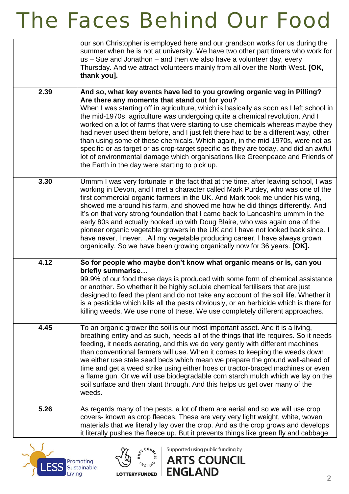|      | our son Christopher is employed here and our grandson works for us during the<br>summer when he is not at university. We have two other part timers who work for<br>us - Sue and Jonathon - and then we also have a volunteer day, every<br>Thursday. And we attract volunteers mainly from all over the North West. [OK,<br>thank you].                                                                                                                                                                                                                                                                                                                                                                                                                                                  |
|------|-------------------------------------------------------------------------------------------------------------------------------------------------------------------------------------------------------------------------------------------------------------------------------------------------------------------------------------------------------------------------------------------------------------------------------------------------------------------------------------------------------------------------------------------------------------------------------------------------------------------------------------------------------------------------------------------------------------------------------------------------------------------------------------------|
| 2.39 | And so, what key events have led to you growing organic veg in Pilling?<br>Are there any moments that stand out for you?<br>When I was starting off in agriculture, which is basically as soon as I left school in<br>the mid-1970s, agriculture was undergoing quite a chemical revolution. And I<br>worked on a lot of farms that were starting to use chemicals whereas maybe they<br>had never used them before, and I just felt there had to be a different way, other<br>than using some of these chemicals. Which again, in the mid-1970s, were not as<br>specific or as target or as crop-target specific as they are today, and did an awful<br>lot of environmental damage which organisations like Greenpeace and Friends of<br>the Earth in the day were starting to pick up. |
| 3.30 | Ummm I was very fortunate in the fact that at the time, after leaving school, I was<br>working in Devon, and I met a character called Mark Purdey, who was one of the<br>first commercial organic farmers in the UK. And Mark took me under his wing,<br>showed me around his farm, and showed me how he did things differently. And<br>it's on that very strong foundation that I came back to Lancashire ummm in the<br>early 80s and actually hooked up with Doug Blaire, who was again one of the<br>pioneer organic vegetable growers in the UK and I have not looked back since. I<br>have never, I neverAll my vegetable producing career, I have always grown<br>organically. So we have been growing organically now for 36 years. [OK].                                         |
| 4.12 | So for people who maybe don't know what organic means or is, can you<br>briefly summarise<br>99.9% of our food these days is produced with some form of chemical assistance<br>or another. So whether it be highly soluble chemical fertilisers that are just<br>designed to feed the plant and do not take any account of the soil life. Whether it<br>is a pesticide which kills all the pests obviously, or an herbicide which is there for<br>killing weeds. We use none of these. We use completely different approaches.                                                                                                                                                                                                                                                            |
| 4.45 | To an organic grower the soil is our most important asset. And it is a living,<br>breathing entity and as such, needs all of the things that life requires. So it needs<br>feeding, it needs aerating, and this we do very gently with different machines<br>than conventional farmers will use. When it comes to keeping the weeds down,<br>we either use stale seed beds which mean we prepare the ground well-ahead of<br>time and get a weed strike using either hoes or tractor-braced machines or even<br>a flame gun. Or we will use biodegradable corn starch mulch which we lay on the<br>soil surface and then plant through. And this helps us get over many of the<br>weeds.                                                                                                  |
| 5.26 | As regards many of the pests, a lot of them are aerial and so we will use crop<br>covers- known as crop fleeces. These are very very light weight, white, woven<br>materials that we literally lay over the crop. And as the crop grows and develops<br>it literally pushes the fleece up. But it prevents things like green fly and cabbage                                                                                                                                                                                                                                                                                                                                                                                                                                              |





Supported using public funding by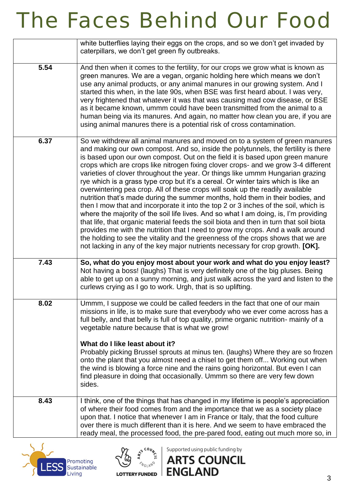|      | white butterflies laying their eggs on the crops, and so we don't get invaded by<br>caterpillars, we don't get green fly outbreaks.                                                                                                                                                                                                                                                                                                                                                                                                                                                                                                                                                                                                                                                                                                                                                                                                                                                                                                                                                                                                                                                                                  |
|------|----------------------------------------------------------------------------------------------------------------------------------------------------------------------------------------------------------------------------------------------------------------------------------------------------------------------------------------------------------------------------------------------------------------------------------------------------------------------------------------------------------------------------------------------------------------------------------------------------------------------------------------------------------------------------------------------------------------------------------------------------------------------------------------------------------------------------------------------------------------------------------------------------------------------------------------------------------------------------------------------------------------------------------------------------------------------------------------------------------------------------------------------------------------------------------------------------------------------|
| 5.54 | And then when it comes to the fertility, for our crops we grow what is known as<br>green manures. We are a vegan, organic holding here which means we don't<br>use any animal products, or any animal manures in our growing system. And I<br>started this when, in the late 90s, when BSE was first heard about. I was very,<br>very frightened that whatever it was that was causing mad cow disease, or BSE<br>as it became known, ummm could have been transmitted from the animal to a<br>human being via its manures. And again, no matter how clean you are, if you are<br>using animal manures there is a potential risk of cross contamination.                                                                                                                                                                                                                                                                                                                                                                                                                                                                                                                                                             |
| 6.37 | So we withdrew all animal manures and moved on to a system of green manures<br>and making our own compost. And so, inside the polytunnels, the fertility is there<br>is based upon our own compost. Out on the field it is based upon green manure<br>crops which are crops like nitrogen fixing clover crops- and we grow 3-4 different<br>varieties of clover throughout the year. Or things like ummm Hungarian grazing<br>rye which is a grass type crop but it's a cereal. Or winter tairs which is like an<br>overwintering pea crop. All of these crops will soak up the readily available<br>nutrition that's made during the summer months, hold them in their bodies, and<br>then I mow that and incorporate it into the top 2 or 3 inches of the soil, which is<br>where the majority of the soil life lives. And so what I am doing, is, I'm providing<br>that life, that organic material feeds the soil biota and then in turn that soil biota<br>provides me with the nutrition that I need to grow my crops. And a walk around<br>the holding to see the vitality and the greenness of the crops shows that we are<br>not lacking in any of the key major nutrients necessary for crop growth. [OK]. |
| 7.43 | So, what do you enjoy most about your work and what do you enjoy least?<br>Not having a boss! (laughs) That is very definitely one of the big pluses. Being<br>able to get up on a sunny morning, and just walk across the yard and listen to the<br>curlews crying as I go to work. Urgh, that is so uplifting.                                                                                                                                                                                                                                                                                                                                                                                                                                                                                                                                                                                                                                                                                                                                                                                                                                                                                                     |
| 8.02 | Ummm, I suppose we could be called feeders in the fact that one of our main<br>missions in life, is to make sure that everybody who we ever come across has a<br>full belly, and that belly is full of top quality, prime organic nutrition- mainly of a<br>vegetable nature because that is what we grow!<br>What do I like least about it?<br>Probably picking Brussel sprouts at minus ten. (laughs) Where they are so frozen<br>onto the plant that you almost need a chisel to get them off Working out when<br>the wind is blowing a force nine and the rains going horizontal. But even I can<br>find pleasure in doing that occasionally. Ummm so there are very few down<br>sides.                                                                                                                                                                                                                                                                                                                                                                                                                                                                                                                          |
| 8.43 | I think, one of the things that has changed in my lifetime is people's appreciation<br>of where their food comes from and the importance that we as a society place<br>upon that. I notice that whenever I am in France or Italy, that the food culture<br>over there is much different than it is here. And we seem to have embraced the<br>ready meal, the processed food, the pre-pared food, eating out much more so, in                                                                                                                                                                                                                                                                                                                                                                                                                                                                                                                                                                                                                                                                                                                                                                                         |





Supported using public funding by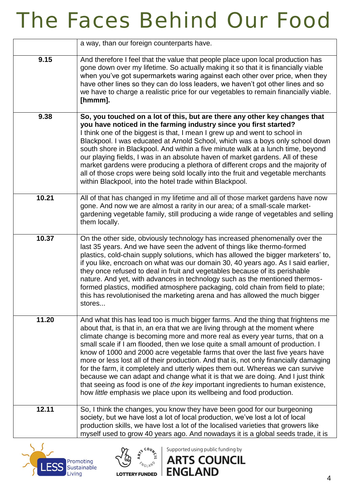|       | a way, than our foreign counterparts have.                                                                                                                                                                                                                                                                                                                                                                                                                                                                                                                                                                                                                                                                                                                                                                                                    |
|-------|-----------------------------------------------------------------------------------------------------------------------------------------------------------------------------------------------------------------------------------------------------------------------------------------------------------------------------------------------------------------------------------------------------------------------------------------------------------------------------------------------------------------------------------------------------------------------------------------------------------------------------------------------------------------------------------------------------------------------------------------------------------------------------------------------------------------------------------------------|
| 9.15  | And therefore I feel that the value that people place upon local production has<br>gone down over my lifetime. So actually making it so that it is financially viable<br>when you've got supermarkets waring against each other over price, when they<br>have other lines so they can do loss leaders, we haven't got other lines and so<br>we have to charge a realistic price for our vegetables to remain financially viable.<br>[hmmm].                                                                                                                                                                                                                                                                                                                                                                                                   |
| 9.38  | So, you touched on a lot of this, but are there any other key changes that<br>you have noticed in the farming industry since you first started?<br>I think one of the biggest is that, I mean I grew up and went to school in<br>Blackpool. I was educated at Arnold School, which was a boys only school down<br>south shore in Blackpool. And within a five minute walk at a lunch time, beyond<br>our playing fields, I was in an absolute haven of market gardens. All of these<br>market gardens were producing a plethora of different crops and the majority of<br>all of those crops were being sold locally into the fruit and vegetable merchants<br>within Blackpool, into the hotel trade within Blackpool.                                                                                                                       |
| 10.21 | All of that has changed in my lifetime and all of those market gardens have now<br>gone. And now we are almost a rarity in our area; of a small-scale market-<br>gardening vegetable family, still producing a wide range of vegetables and selling<br>them locally.                                                                                                                                                                                                                                                                                                                                                                                                                                                                                                                                                                          |
| 10.37 | On the other side, obviously technology has increased phenomenally over the<br>last 35 years. And we have seen the advent of things like thermo-formed<br>plastics, cold-chain supply solutions, which has allowed the bigger marketers' to,<br>if you like, encroach on what was our domain 30, 40 years ago. As I said earlier,<br>they once refused to deal in fruit and vegetables because of its perishable<br>nature. And yet, with advances in technology such as the mentioned thermos-<br>formed plastics, modified atmosphere packaging, cold chain from field to plate;<br>this has revolutionised the marketing arena and has allowed the much bigger<br>stores                                                                                                                                                                   |
| 11.20 | And what this has lead too is much bigger farms. And the thing that frightens me<br>about that, is that in, an era that we are living through at the moment where<br>climate change is becoming more and more real as every year turns, that on a<br>small scale if I am flooded, then we lose quite a small amount of production. I<br>know of 1000 and 2000 acre vegetable farms that over the last five years have<br>more or less lost all of their production. And that is, not only financially damaging<br>for the farm, it completely and utterly wipes them out. Whereas we can survive<br>because we can adapt and change what it is that we are doing. And I just think<br>that seeing as food is one of the key important ingredients to human existence,<br>how little emphasis we place upon its wellbeing and food production. |
| 12.11 | So, I think the changes, you know they have been good for our burgeoning<br>society, but we have lost a lot of local production, we've lost a lot of local<br>production skills, we have lost a lot of the localised varieties that growers like<br>myself used to grow 40 years ago. And nowadays it is a global seeds trade, it is                                                                                                                                                                                                                                                                                                                                                                                                                                                                                                          |





Supported using public funding by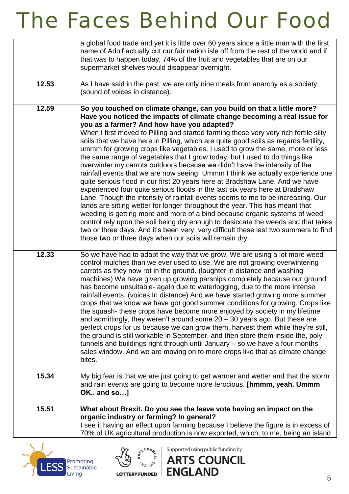|       | a global food trade and yet it is little over 60 years since a little man with the first                                                                                                                                                                                                                                                                                                                                                                                                                                                                                                                                                                                                                                                                                                                                                                                                                                                                                                                                                                                       |
|-------|--------------------------------------------------------------------------------------------------------------------------------------------------------------------------------------------------------------------------------------------------------------------------------------------------------------------------------------------------------------------------------------------------------------------------------------------------------------------------------------------------------------------------------------------------------------------------------------------------------------------------------------------------------------------------------------------------------------------------------------------------------------------------------------------------------------------------------------------------------------------------------------------------------------------------------------------------------------------------------------------------------------------------------------------------------------------------------|
|       | name of Adolf actually cut our fair nation isle off from the rest of the world and if                                                                                                                                                                                                                                                                                                                                                                                                                                                                                                                                                                                                                                                                                                                                                                                                                                                                                                                                                                                          |
|       | that was to happen today, 74% of the fruit and vegetables that are on our                                                                                                                                                                                                                                                                                                                                                                                                                                                                                                                                                                                                                                                                                                                                                                                                                                                                                                                                                                                                      |
|       | supermarket shelves would disappear overnight.                                                                                                                                                                                                                                                                                                                                                                                                                                                                                                                                                                                                                                                                                                                                                                                                                                                                                                                                                                                                                                 |
| 12.53 | As I have said in the past, we are only nine meals from anarchy as a society.                                                                                                                                                                                                                                                                                                                                                                                                                                                                                                                                                                                                                                                                                                                                                                                                                                                                                                                                                                                                  |
|       | (sound of voices in distance).                                                                                                                                                                                                                                                                                                                                                                                                                                                                                                                                                                                                                                                                                                                                                                                                                                                                                                                                                                                                                                                 |
|       |                                                                                                                                                                                                                                                                                                                                                                                                                                                                                                                                                                                                                                                                                                                                                                                                                                                                                                                                                                                                                                                                                |
| 12.59 | So you touched on climate change, can you build on that a little more?<br>Have you noticed the impacts of climate change becoming a real issue for<br>you as a farmer? And how have you adapted?<br>When I first moved to Pilling and started farming these very very rich fertile silty<br>soils that we have here in Pilling, which are quite good soils as regards fertility,                                                                                                                                                                                                                                                                                                                                                                                                                                                                                                                                                                                                                                                                                               |
|       | ummm for growing crops like vegetables. I used to grow the same, more or less<br>the same range of vegetables that I grow today, but I used to do things like<br>overwinter my carrots outdoors because we didn't have the intensity of the<br>rainfall events that we are now seeing. Ummm I think we actually experience one<br>quite serious flood in our first 20 years here at Bradshaw Lane. And we have<br>experienced four quite serious floods in the last six years here at Bradshaw<br>Lane. Though the intensity of rainfall events seems to me to be increasing. Our<br>lands are sitting wetter for longer throughout the year. This has meant that<br>weeding is getting more and more of a bind because organic systems of weed<br>control rely upon the soil being dry enough to desiccate the weeds and that takes<br>two or three days. And it's been very, very difficult these last two summers to find<br>those two or three days when our soils will remain dry.                                                                                        |
| 12.33 | So we have had to adapt the way that we grow. We are using a lot more weed<br>control mulches than we ever used to use. We are not growing overwintering<br>carrots as they now rot in the ground. (laughter in distance and washing<br>machines) We have given up growing parsnips completely because our ground<br>has become unsuitable- again due to waterlogging, due to the more intense<br>rainfall events. (voices In distance) And we have started growing more summer<br>crops that we know we have got good summer conditions for growing. Crops like<br>the squash-these crops have become more enjoyed by society in my lifetime<br>and admittingly, they weren't around some $20 - 30$ years ago. But these are<br>perfect crops for us because we can grow them, harvest them while they're still,<br>the ground is still workable in September, and then store them inside the, poly<br>tunnels and buildings right through until January – so we have a four months<br>sales window. And we are moving on to more crops like that as climate change<br>bites. |
| 15.34 | My big fear is that we are just going to get warmer and wetter and that the storm<br>and rain events are going to become more ferocious. [hmmm, yeah. Ummm<br>OK and so]                                                                                                                                                                                                                                                                                                                                                                                                                                                                                                                                                                                                                                                                                                                                                                                                                                                                                                       |
| 15.51 | What about Brexit. Do you see the leave vote having an impact on the                                                                                                                                                                                                                                                                                                                                                                                                                                                                                                                                                                                                                                                                                                                                                                                                                                                                                                                                                                                                           |
|       | organic industry or farming? In general?                                                                                                                                                                                                                                                                                                                                                                                                                                                                                                                                                                                                                                                                                                                                                                                                                                                                                                                                                                                                                                       |
|       | I see it having an effect upon farming because I believe the figure is in excess of                                                                                                                                                                                                                                                                                                                                                                                                                                                                                                                                                                                                                                                                                                                                                                                                                                                                                                                                                                                            |
|       | 70% of UK agricultural production is now exported, which, to me, being an island                                                                                                                                                                                                                                                                                                                                                                                                                                                                                                                                                                                                                                                                                                                                                                                                                                                                                                                                                                                               |





Supported using public funding by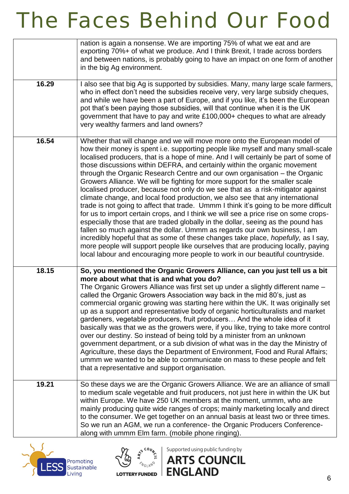|       | nation is again a nonsense. We are importing 75% of what we eat and are<br>exporting 70%+ of what we produce. And I think Brexit, I trade across borders<br>and between nations, is probably going to have an impact on one form of another<br>in the big Ag environment.                                                                                                                                                                                                                                                                                                                                                                                                                                                                                                                                                                                                                                                                                                                                                                                                                                                                                                                                                                                                                 |
|-------|-------------------------------------------------------------------------------------------------------------------------------------------------------------------------------------------------------------------------------------------------------------------------------------------------------------------------------------------------------------------------------------------------------------------------------------------------------------------------------------------------------------------------------------------------------------------------------------------------------------------------------------------------------------------------------------------------------------------------------------------------------------------------------------------------------------------------------------------------------------------------------------------------------------------------------------------------------------------------------------------------------------------------------------------------------------------------------------------------------------------------------------------------------------------------------------------------------------------------------------------------------------------------------------------|
| 16.29 | I also see that big Ag is supported by subsidies. Many, many large scale farmers,<br>who in effect don't need the subsidies receive very, very large subsidy cheques,<br>and while we have been a part of Europe, and if you like, it's been the European<br>pot that's been paying those subsidies, will that continue when it is the UK<br>government that have to pay and write £100,000+ cheques to what are already<br>very wealthy farmers and land owners?                                                                                                                                                                                                                                                                                                                                                                                                                                                                                                                                                                                                                                                                                                                                                                                                                         |
| 16.54 | Whether that will change and we will move more onto the European model of<br>how their money is spent i.e. supporting people like myself and many small-scale<br>localised producers, that is a hope of mine. And I will certainly be part of some of<br>those discussions within DEFRA, and certainly within the organic movement<br>through the Organic Research Centre and our own organisation – the Organic<br>Growers Alliance. We will be fighting for more support for the smaller scale<br>localised producer, because not only do we see that as a risk-mitigator against<br>climate change, and local food production, we also see that any international<br>trade is not going to affect that trade. Ummm I think it's going to be more difficult<br>for us to import certain crops, and I think we will see a price rise on some crops-<br>especially those that are traded globally in the dollar, seeing as the pound has<br>fallen so much against the dollar. Ummm as regards our own business, I am<br>incredibly hopeful that as some of these changes take place, <i>hopefully</i> , as I say,<br>more people will support people like ourselves that are producing locally, paying<br>local labour and encouraging more people to work in our beautiful countryside. |
| 18.15 | So, you mentioned the Organic Growers Alliance, can you just tell us a bit<br>more about what that is and what you do?<br>The Organic Growers Alliance was first set up under a slightly different name -<br>called the Organic Growers Association way back in the mid 80's, just as<br>commercial organic growing was starting here within the UK. It was originally set<br>up as a support and representative body of organic horticulturalists and market<br>gardeners, vegetable producers, fruit producers And the whole idea of it<br>basically was that we as the growers were, if you like, trying to take more control<br>over our destiny. So instead of being told by a minister from an unknown<br>government department, or a sub division of what was in the day the Ministry of<br>Agriculture, these days the Department of Environment, Food and Rural Affairs;<br>ummm we wanted to be able to communicate on mass to these people and felt<br>that a representative and support organisation.                                                                                                                                                                                                                                                                         |
| 19.21 | So these days we are the Organic Growers Alliance. We are an alliance of small<br>to medium scale vegetable and fruit producers, not just here in within the UK but<br>within Europe. We have 250 UK members at the moment, ummm, who are<br>mainly producing quite wide ranges of crops; mainly marketing locally and direct<br>to the consumer. We get together on an annual basis at least two or three times.<br>So we run an AGM, we run a conference- the Organic Producers Conference-<br>along with ummm Elm farm. (mobile phone ringing).                                                                                                                                                                                                                                                                                                                                                                                                                                                                                                                                                                                                                                                                                                                                        |





Supported using public funding by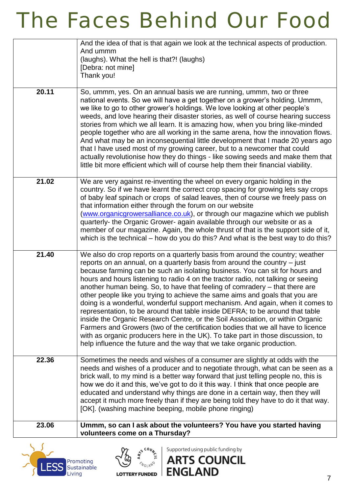|       | And the idea of that is that again we look at the technical aspects of production.<br>And ummm<br>(laughs). What the hell is that?! (laughs)<br>[Debra: not mine]<br>Thank you!                                                                                                                                                                                                                                                                                                                                                                                                                                                                                                                                                                                                                                                                                                                                                                                                                     |
|-------|-----------------------------------------------------------------------------------------------------------------------------------------------------------------------------------------------------------------------------------------------------------------------------------------------------------------------------------------------------------------------------------------------------------------------------------------------------------------------------------------------------------------------------------------------------------------------------------------------------------------------------------------------------------------------------------------------------------------------------------------------------------------------------------------------------------------------------------------------------------------------------------------------------------------------------------------------------------------------------------------------------|
| 20.11 | So, ummm, yes. On an annual basis we are running, ummm, two or three<br>national events. So we will have a get together on a grower's holding. Ummm,<br>we like to go to other grower's holdings. We love looking at other people's<br>weeds, and love hearing their disaster stories, as well of course hearing success<br>stories from which we all learn. It is amazing how, when you bring like-minded<br>people together who are all working in the same arena, how the innovation flows.<br>And what may be an inconsequential little development that I made 20 years ago<br>that I have used most of my growing career, but to a newcomer that could<br>actually revolutionise how they do things - like sowing seeds and make them that<br>little bit more efficient which will of course help them their financial viability.                                                                                                                                                             |
| 21.02 | We are very against re-inventing the wheel on every organic holding in the<br>country. So if we have learnt the correct crop spacing for growing lets say crops<br>of baby leaf spinach or crops of salad leaves, then of course we freely pass on<br>that information either through the forum on our website<br>(www.organicgrowersalliance.co.uk), or through our magazine which we publish<br>quarterly- the Organic Grower- again available through our website or as a<br>member of our magazine. Again, the whole thrust of that is the support side of it,<br>which is the technical - how do you do this? And what is the best way to do this?                                                                                                                                                                                                                                                                                                                                             |
| 21.40 | We also do crop reports on a quarterly basis from around the country; weather<br>reports on an annual, on a quarterly basis from around the country – just<br>because farming can be such an isolating business. You can sit for hours and<br>hours and hours listening to radio 4 on the tractor radio, not talking or seeing<br>another human being. So, to have that feeling of comradery – that there are<br>other people like you trying to achieve the same aims and goals that you are<br>doing is a wonderful, wonderful support mechanism. And again, when it comes to<br>representation, to be around that table inside DEFRA; to be around that table<br>inside the Organic Research Centre, or the Soil Association, or within Organic<br>Farmers and Growers (two of the certification bodies that we all have to licence<br>with as organic producers here in the UK). To take part in those discussion, to<br>help influence the future and the way that we take organic production. |
| 22.36 | Sometimes the needs and wishes of a consumer are slightly at odds with the<br>needs and wishes of a producer and to negotiate through, what can be seen as a<br>brick wall, to my mind is a better way forward that just telling people no, this is<br>how we do it and this, we've got to do it this way. I think that once people are<br>educated and understand why things are done in a certain way, then they will<br>accept it much more freely than if they are being told they have to do it that way.<br>[OK]. (washing machine beeping, mobile phone ringing)                                                                                                                                                                                                                                                                                                                                                                                                                             |
| 23.06 | Ummm, so can I ask about the volunteers? You have you started having<br>volunteers come on a Thursday?                                                                                                                                                                                                                                                                                                                                                                                                                                                                                                                                                                                                                                                                                                                                                                                                                                                                                              |





Supported using public funding by

**ART** 

**S COUNCIL**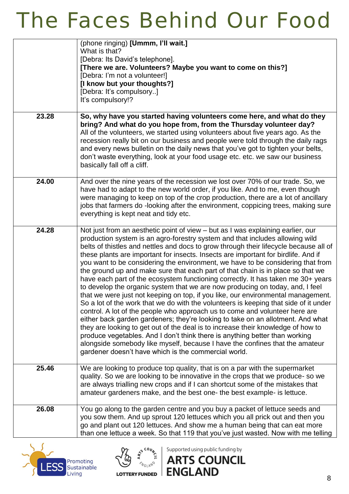|       | (phone ringing) [Ummm, I'll wait.]<br>What is that?<br>[Debra: Its David's telephone].<br>[There we are. Volunteers? Maybe you want to come on this?]<br>[Debra: I'm not a volunteer!]<br>[I know but your thoughts?]<br>[Debra: It's compulsory]<br>It's compulsory!?                                                                                                                                                                                                                                                                                                                                                                                                                                                                                                                                                                                                                                                                                                                                                                                                                                                                                                                                                                                                                                                                             |
|-------|----------------------------------------------------------------------------------------------------------------------------------------------------------------------------------------------------------------------------------------------------------------------------------------------------------------------------------------------------------------------------------------------------------------------------------------------------------------------------------------------------------------------------------------------------------------------------------------------------------------------------------------------------------------------------------------------------------------------------------------------------------------------------------------------------------------------------------------------------------------------------------------------------------------------------------------------------------------------------------------------------------------------------------------------------------------------------------------------------------------------------------------------------------------------------------------------------------------------------------------------------------------------------------------------------------------------------------------------------|
| 23.28 | So, why have you started having volunteers come here, and what do they<br>bring? And what do you hope from, from the Thursday volunteer day?<br>All of the volunteers, we started using volunteers about five years ago. As the<br>recession really bit on our business and people were told through the daily rags<br>and every news bulletin on the daily news that you've got to tighten your belts,<br>don't waste everything, look at your food usage etc. etc. we saw our business<br>basically fall off a cliff.                                                                                                                                                                                                                                                                                                                                                                                                                                                                                                                                                                                                                                                                                                                                                                                                                            |
| 24.00 | And over the nine years of the recession we lost over 70% of our trade. So, we<br>have had to adapt to the new world order, if you like. And to me, even though<br>were managing to keep on top of the crop production, there are a lot of ancillary<br>jobs that farmers do -looking after the environment, coppicing trees, making sure<br>everything is kept neat and tidy etc.                                                                                                                                                                                                                                                                                                                                                                                                                                                                                                                                                                                                                                                                                                                                                                                                                                                                                                                                                                 |
| 24.28 | Not just from an aesthetic point of view - but as I was explaining earlier, our<br>production system is an agro-forestry system and that includes allowing wild<br>belts of thistles and nettles and docs to grow through their lifecycle because all of<br>these plants are important for insects. Insects are important for birdlife. And if<br>you want to be considering the environment, we have to be considering that from<br>the ground up and make sure that each part of that chain is in place so that we<br>have each part of the ecosystem functioning correctly. It has taken me 30+ years<br>to develop the organic system that we are now producing on today, and, I feel<br>that we were just not keeping on top, if you like, our environmental management.<br>So a lot of the work that we do with the volunteers is keeping that side of it under<br>control. A lot of the people who approach us to come and volunteer here are<br>either back garden gardeners; they're looking to take on an allotment. And what<br>they are looking to get out of the deal is to increase their knowledge of how to<br>produce vegetables. And I don't think there is anything better than working<br>alongside somebody like myself, because I have the confines that the amateur<br>gardener doesn't have which is the commercial world. |
| 25.46 | We are looking to produce top quality, that is on a par with the supermarket<br>quality. So we are looking to be innovative in the crops that we produce-so we<br>are always trialling new crops and if I can shortcut some of the mistakes that<br>amateur gardeners make, and the best one- the best example- is lettuce.                                                                                                                                                                                                                                                                                                                                                                                                                                                                                                                                                                                                                                                                                                                                                                                                                                                                                                                                                                                                                        |
| 26.08 | You go along to the garden centre and you buy a packet of lettuce seeds and<br>you sow them. And up sprout 120 lettuces which you all prick out and then you<br>go and plant out 120 lettuces. And show me a human being that can eat more<br>than one lettuce a week. So that 119 that you've just wasted. Now with me telling                                                                                                                                                                                                                                                                                                                                                                                                                                                                                                                                                                                                                                                                                                                                                                                                                                                                                                                                                                                                                    |





Supported using public funding by